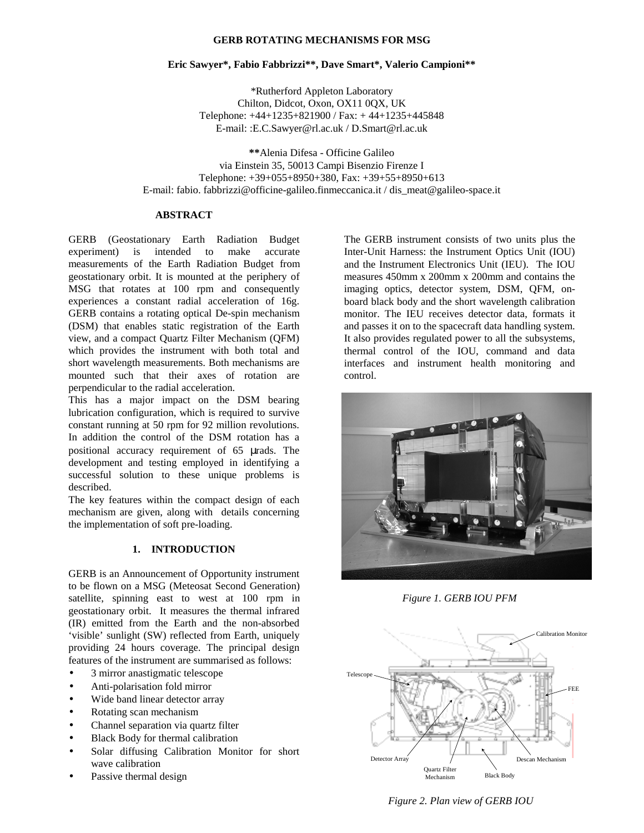## **GERB ROTATING MECHANISMS FOR MSG**

## **Eric Sawyer\*, Fabio Fabbrizzi\*\*, Dave Smart\*, Valerio Campioni\*\***

\*Rutherford Appleton Laboratory Chilton, Didcot, Oxon, OX11 0QX, UK Telephone: +44+1235+821900 / Fax: + 44+1235+445848 E-mail: :E.C.Sawyer@rl.ac.uk / D.Smart@rl.ac.uk

**\*\***Alenia Difesa - Officine Galileo via Einstein 35, 50013 Campi Bisenzio Firenze I Telephone: +39+055+8950+380, Fax: +39+55+8950+613 E-mail: fabio. fabbrizzi@officine-galileo.finmeccanica.it / dis\_meat@galileo-space.it

# **ABSTRACT**

GERB (Geostationary Earth Radiation Budget experiment) is intended to make accurate measurements of the Earth Radiation Budget from geostationary orbit. It is mounted at the periphery of MSG that rotates at 100 rpm and consequently experiences a constant radial acceleration of 16g. GERB contains a rotating optical De-spin mechanism (DSM) that enables static registration of the Earth view, and a compact Quartz Filter Mechanism (QFM) which provides the instrument with both total and short wavelength measurements. Both mechanisms are mounted such that their axes of rotation are perpendicular to the radial acceleration.

This has a major impact on the DSM bearing lubrication configuration, which is required to survive constant running at 50 rpm for 92 million revolutions. In addition the control of the DSM rotation has a positional accuracy requirement of 65 µrads. The development and testing employed in identifying a successful solution to these unique problems is described.

The key features within the compact design of each mechanism are given, along with details concerning the implementation of soft pre-loading.

# **1. INTRODUCTION**

GERB is an Announcement of Opportunity instrument to be flown on a MSG (Meteosat Second Generation) satellite, spinning east to west at 100 rpm in geostationary orbit. It measures the thermal infrared (IR) emitted from the Earth and the non-absorbed 'visible' sunlight (SW) reflected from Earth, uniquely providing 24 hours coverage. The principal design features of the instrument are summarised as follows:

- 3 mirror anastigmatic telescope
- Anti-polarisation fold mirror
- Wide band linear detector array
- Rotating scan mechanism
- Channel separation via quartz filter
- Black Body for thermal calibration
- Solar diffusing Calibration Monitor for short wave calibration
- Passive thermal design

The GERB instrument consists of two units plus the Inter-Unit Harness: the Instrument Optics Unit (IOU) and the Instrument Electronics Unit (IEU). The IOU measures 450mm x 200mm x 200mm and contains the imaging optics, detector system, DSM, QFM, onboard black body and the short wavelength calibration monitor. The IEU receives detector data, formats it and passes it on to the spacecraft data handling system. It also provides regulated power to all the subsystems, thermal control of the IOU, command and data interfaces and instrument health monitoring and control.



*Figure 1. GERB IOU PFM*



 *Figure 2. Plan view of GERB IOU*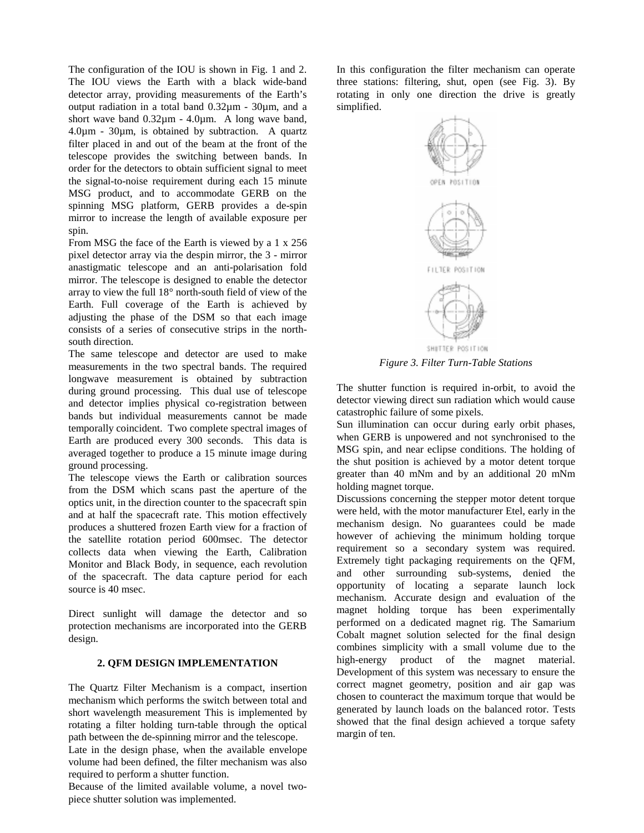The configuration of the IOU is shown in Fig. 1 and 2. The IOU views the Earth with a black wide-band detector array, providing measurements of the Earth's output radiation in a total band 0.32µm - 30µm, and a short wave band  $0.32\mu$ m - 4.0 $\mu$ m. A long wave band, 4.0µm - 30µm, is obtained by subtraction. A quartz filter placed in and out of the beam at the front of the telescope provides the switching between bands. In order for the detectors to obtain sufficient signal to meet the signal-to-noise requirement during each 15 minute MSG product, and to accommodate GERB on the spinning MSG platform, GERB provides a de-spin mirror to increase the length of available exposure per spin.

From MSG the face of the Earth is viewed by a 1 x 256 pixel detector array via the despin mirror, the 3 - mirror anastigmatic telescope and an anti-polarisation fold mirror. The telescope is designed to enable the detector array to view the full 18° north-south field of view of the Earth. Full coverage of the Earth is achieved by adjusting the phase of the DSM so that each image consists of a series of consecutive strips in the northsouth direction.

The same telescope and detector are used to make measurements in the two spectral bands. The required longwave measurement is obtained by subtraction during ground processing. This dual use of telescope and detector implies physical co-registration between bands but individual measurements cannot be made temporally coincident. Two complete spectral images of Earth are produced every 300 seconds. This data is averaged together to produce a 15 minute image during ground processing.

The telescope views the Earth or calibration sources from the DSM which scans past the aperture of the optics unit, in the direction counter to the spacecraft spin and at half the spacecraft rate. This motion effectively produces a shuttered frozen Earth view for a fraction of the satellite rotation period 600msec. The detector collects data when viewing the Earth, Calibration Monitor and Black Body, in sequence, each revolution of the spacecraft. The data capture period for each source is 40 msec.

Direct sunlight will damage the detector and so protection mechanisms are incorporated into the GERB design.

#### **2. QFM DESIGN IMPLEMENTATION**

The Quartz Filter Mechanism is a compact, insertion mechanism which performs the switch between total and short wavelength measurement This is implemented by rotating a filter holding turn-table through the optical path between the de-spinning mirror and the telescope.

Late in the design phase, when the available envelope volume had been defined, the filter mechanism was also required to perform a shutter function.

Because of the limited available volume, a novel twopiece shutter solution was implemented.

In this configuration the filter mechanism can operate three stations: filtering, shut, open (see Fig. 3). By rotating in only one direction the drive is greatly simplified.



*Figure 3. Filter Turn-Table Stations*

The shutter function is required in-orbit, to avoid the detector viewing direct sun radiation which would cause catastrophic failure of some pixels.

Sun illumination can occur during early orbit phases, when GERB is unpowered and not synchronised to the MSG spin, and near eclipse conditions. The holding of the shut position is achieved by a motor detent torque greater than 40 mNm and by an additional 20 mNm holding magnet torque.

Discussions concerning the stepper motor detent torque were held, with the motor manufacturer Etel, early in the mechanism design. No guarantees could be made however of achieving the minimum holding torque requirement so a secondary system was required. Extremely tight packaging requirements on the QFM, and other surrounding sub-systems, denied the opportunity of locating a separate launch lock mechanism. Accurate design and evaluation of the magnet holding torque has been experimentally performed on a dedicated magnet rig. The Samarium Cobalt magnet solution selected for the final design combines simplicity with a small volume due to the high-energy product of the magnet material. Development of this system was necessary to ensure the correct magnet geometry, position and air gap was chosen to counteract the maximum torque that would be generated by launch loads on the balanced rotor. Tests showed that the final design achieved a torque safety margin of ten.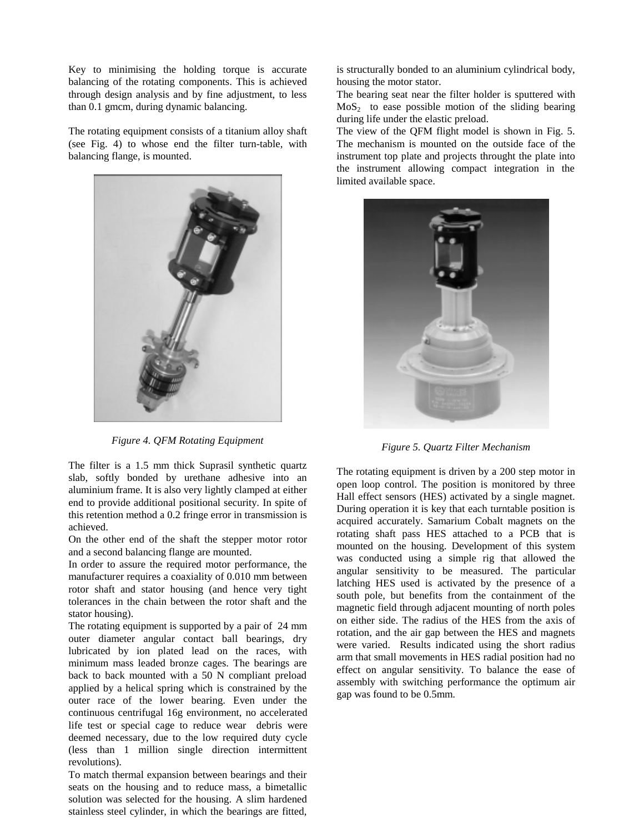Key to minimising the holding torque is accurate balancing of the rotating components. This is achieved through design analysis and by fine adjustment, to less than 0.1 gmcm, during dynamic balancing.

The rotating equipment consists of a titanium alloy shaft (see Fig. 4) to whose end the filter turn-table, with balancing flange, is mounted.



*Figure 4. QFM Rotating Equipment*

The filter is a 1.5 mm thick Suprasil synthetic quartz slab, softly bonded by urethane adhesive into an aluminium frame. It is also very lightly clamped at either end to provide additional positional security. In spite of this retention method a 0.2 fringe error in transmission is achieved.

On the other end of the shaft the stepper motor rotor and a second balancing flange are mounted.

In order to assure the required motor performance, the manufacturer requires a coaxiality of 0.010 mm between rotor shaft and stator housing (and hence very tight tolerances in the chain between the rotor shaft and the stator housing).

The rotating equipment is supported by a pair of 24 mm outer diameter angular contact ball bearings, dry lubricated by ion plated lead on the races, with minimum mass leaded bronze cages. The bearings are back to back mounted with a 50 N compliant preload applied by a helical spring which is constrained by the outer race of the lower bearing. Even under the continuous centrifugal 16g environment, no accelerated life test or special cage to reduce wear debris were deemed necessary, due to the low required duty cycle (less than 1 million single direction intermittent revolutions).

To match thermal expansion between bearings and their seats on the housing and to reduce mass, a bimetallic solution was selected for the housing. A slim hardened stainless steel cylinder, in which the bearings are fitted,

is structurally bonded to an aluminium cylindrical body, housing the motor stator.

The bearing seat near the filter holder is sputtered with  $MoS<sub>2</sub>$  to ease possible motion of the sliding bearing during life under the elastic preload.

The view of the QFM flight model is shown in Fig. 5. The mechanism is mounted on the outside face of the instrument top plate and projects throught the plate into the instrument allowing compact integration in the limited available space.



*Figure 5. Quartz Filter Mechanism*

The rotating equipment is driven by a 200 step motor in open loop control. The position is monitored by three Hall effect sensors (HES) activated by a single magnet. During operation it is key that each turntable position is acquired accurately. Samarium Cobalt magnets on the rotating shaft pass HES attached to a PCB that is mounted on the housing. Development of this system was conducted using a simple rig that allowed the angular sensitivity to be measured. The particular latching HES used is activated by the presence of a south pole, but benefits from the containment of the magnetic field through adjacent mounting of north poles on either side. The radius of the HES from the axis of rotation, and the air gap between the HES and magnets were varied. Results indicated using the short radius arm that small movements in HES radial position had no effect on angular sensitivity. To balance the ease of assembly with switching performance the optimum air gap was found to be 0.5mm.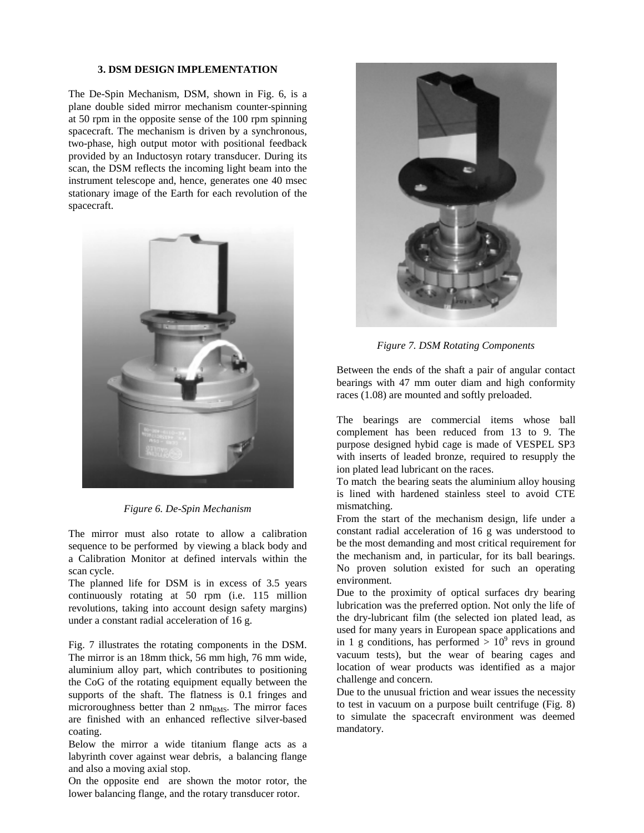#### **3. DSM DESIGN IMPLEMENTATION**

The De-Spin Mechanism, DSM, shown in Fig. 6, is a plane double sided mirror mechanism counter-spinning at 50 rpm in the opposite sense of the 100 rpm spinning spacecraft. The mechanism is driven by a synchronous, two-phase, high output motor with positional feedback provided by an Inductosyn rotary transducer. During its scan, the DSM reflects the incoming light beam into the instrument telescope and, hence, generates one 40 msec stationary image of the Earth for each revolution of the spacecraft.



*Figure 6. De-Spin Mechanism*

The mirror must also rotate to allow a calibration sequence to be performed by viewing a black body and a Calibration Monitor at defined intervals within the scan cycle.

The planned life for DSM is in excess of 3.5 years continuously rotating at 50 rpm (i.e. 115 million revolutions, taking into account design safety margins) under a constant radial acceleration of 16 g.

Fig. 7 illustrates the rotating components in the DSM. The mirror is an 18mm thick, 56 mm high, 76 mm wide, aluminium alloy part, which contributes to positioning the CoG of the rotating equipment equally between the supports of the shaft. The flatness is 0.1 fringes and microroughness better than  $2 \text{ nm}_{RMS}$ . The mirror faces are finished with an enhanced reflective silver-based coating.

Below the mirror a wide titanium flange acts as a labyrinth cover against wear debris, a balancing flange and also a moving axial stop.

On the opposite end are shown the motor rotor, the lower balancing flange, and the rotary transducer rotor.



*Figure 7. DSM Rotating Components*

Between the ends of the shaft a pair of angular contact bearings with 47 mm outer diam and high conformity races (1.08) are mounted and softly preloaded.

The bearings are commercial items whose ball complement has been reduced from 13 to 9. The purpose designed hybid cage is made of VESPEL SP3 with inserts of leaded bronze, required to resupply the ion plated lead lubricant on the races.

To match the bearing seats the aluminium alloy housing is lined with hardened stainless steel to avoid CTE mismatching.

From the start of the mechanism design, life under a constant radial acceleration of 16 g was understood to be the most demanding and most critical requirement for the mechanism and, in particular, for its ball bearings. No proven solution existed for such an operating environment.

Due to the proximity of optical surfaces dry bearing lubrication was the preferred option. Not only the life of the dry-lubricant film (the selected ion plated lead, as used for many years in European space applications and in 1 g conditions, has performed  $> 10<sup>9</sup>$  revs in ground vacuum tests), but the wear of bearing cages and location of wear products was identified as a major challenge and concern.

Due to the unusual friction and wear issues the necessity to test in vacuum on a purpose built centrifuge (Fig. 8) to simulate the spacecraft environment was deemed mandatory.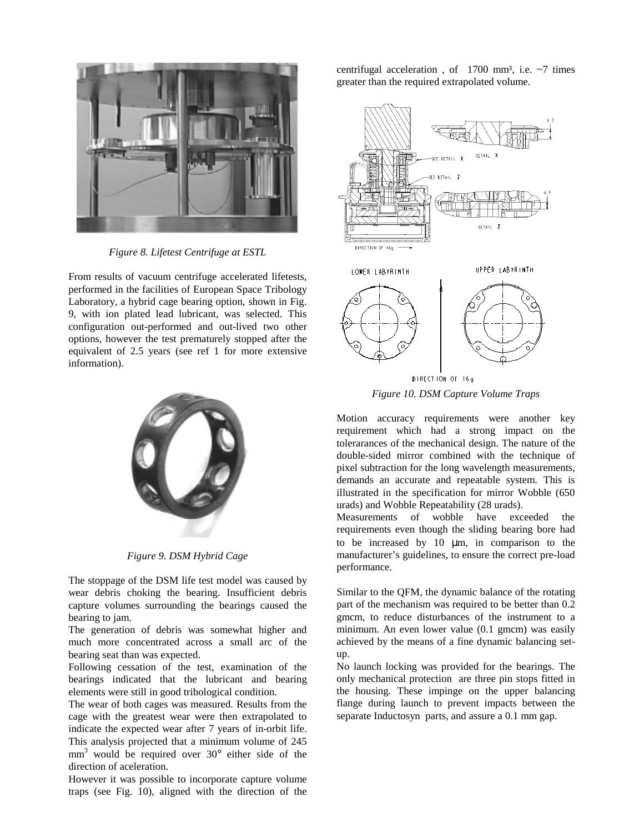

*Figure 8. Lifetest Centrifuge at ESTL*

From results of vacuum centrifuge accelerated lifetests, performed in the facilities of European Space Tribology Laboratory, a hybrid cage bearing option, shown in Fig. 9, with ion plated lead lubricant, was selected. This configuration out-performed and out-lived two other options, however the test prematurely stopped after the equivalent of 2.5 years (see ref 1 for more extensive information).



*Figure 9. DSM Hybrid Cage*

The stoppage of the DSM life test model was caused by wear debris choking the bearing. Insufficient debris capture volumes surrounding the bearings caused the bearing to jam.

The generation of debris was somewhat higher and much more concentrated across a small arc of the bearing seat than was expected.

Following cessation of the test, examination of the bearings indicated that the lubricant and bearing elements were still in good tribological condition.

The wear of both cages was measured. Results from the cage with the greatest wear were then extrapolated to indicate the expected wear after 7 years of in-orbit life. This analysis projected that a minimum volume of 245  $mm<sup>3</sup>$  would be required over 30 $^{\circ}$  either side of the direction of aceleration.

However it was possible to incorporate capture volume traps (see Fig. 10), aligned with the direction of the

centrifugal acceleration, of  $1700 \text{ mm}^3$ , i.e.  $\sim$ 7 times greater than the required extrapolated volume.



*Figure 10. DSM Capture Volume Traps*

Motion accuracy requirements were another key requirement which had a strong impact on the tolerarances of the mechanical design. The nature of the double-sided mirror combined with the technique of pixel subtraction for the long wavelength measurements, demands an accurate and repeatable system. This is illustrated in the specification for mirror Wobble (650 urads) and Wobble Repeatability (28 urads).

Measurements of wobble have exceeded the requirements even though the sliding bearing bore had to be increased by 10 µm, in comparison to the manufacturer's guidelines, to ensure the correct pre-load performance.

Similar to the QFM, the dynamic balance of the rotating part of the mechanism was required to be better than 0.2 gmcm, to reduce disturbances of the instrument to a minimum. An even lower value (0.1 gmcm) was easily achieved by the means of a fine dynamic balancing setup.

No launch locking was provided for the bearings. The only mechanical protection are three pin stops fitted in the housing. These impinge on the upper balancing flange during launch to prevent impacts between the separate Inductosyn parts, and assure a 0.1 mm gap.